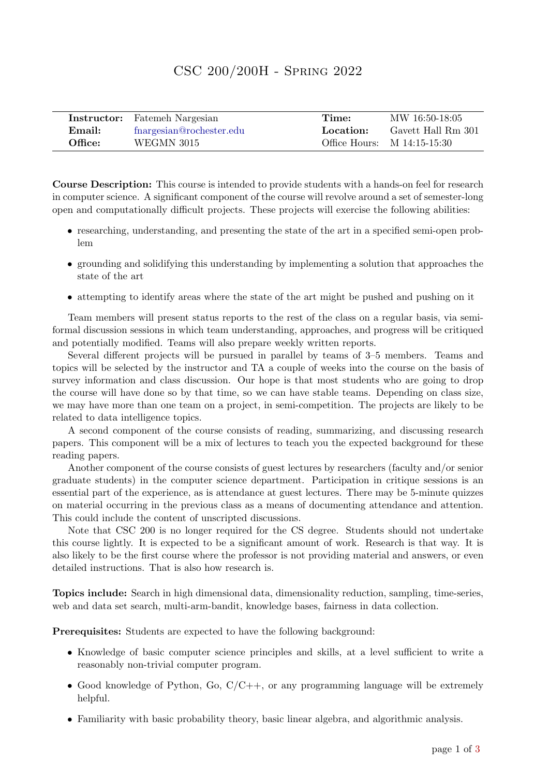## CSC 200/200H - Spring 2022

|         | <b>Instructor:</b> Fatemen Nargesian | Time:     | MW 16:50-18:05              |
|---------|--------------------------------------|-----------|-----------------------------|
| Email:  | fnargesian@rochester.edu             | Location: | Gavett Hall Rm 301          |
| Office: | WEGMN 3015                           |           | Office Hours: M 14:15-15:30 |

Course Description: This course is intended to provide students with a hands-on feel for research in computer science. A significant component of the course will revolve around a set of semester-long open and computationally difficult projects. These projects will exercise the following abilities:

- researching, understanding, and presenting the state of the art in a specified semi-open problem
- grounding and solidifying this understanding by implementing a solution that approaches the state of the art
- attempting to identify areas where the state of the art might be pushed and pushing on it

Team members will present status reports to the rest of the class on a regular basis, via semiformal discussion sessions in which team understanding, approaches, and progress will be critiqued and potentially modified. Teams will also prepare weekly written reports.

Several different projects will be pursued in parallel by teams of 3–5 members. Teams and topics will be selected by the instructor and TA a couple of weeks into the course on the basis of survey information and class discussion. Our hope is that most students who are going to drop the course will have done so by that time, so we can have stable teams. Depending on class size, we may have more than one team on a project, in semi-competition. The projects are likely to be related to data intelligence topics.

A second component of the course consists of reading, summarizing, and discussing research papers. This component will be a mix of lectures to teach you the expected background for these reading papers.

Another component of the course consists of guest lectures by researchers (faculty and/or senior graduate students) in the computer science department. Participation in critique sessions is an essential part of the experience, as is attendance at guest lectures. There may be 5-minute quizzes on material occurring in the previous class as a means of documenting attendance and attention. This could include the content of unscripted discussions.

Note that CSC 200 is no longer required for the CS degree. Students should not undertake this course lightly. It is expected to be a significant amount of work. Research is that way. It is also likely to be the first course where the professor is not providing material and answers, or even detailed instructions. That is also how research is.

Topics include: Search in high dimensional data, dimensionality reduction, sampling, time-series, web and data set search, multi-arm-bandit, knowledge bases, fairness in data collection.

Prerequisites: Students are expected to have the following background:

- Knowledge of basic computer science principles and skills, at a level sufficient to write a reasonably non-trivial computer program.
- Good knowledge of Python, Go,  $C/C++$ , or any programming language will be extremely helpful.
- Familiarity with basic probability theory, basic linear algebra, and algorithmic analysis.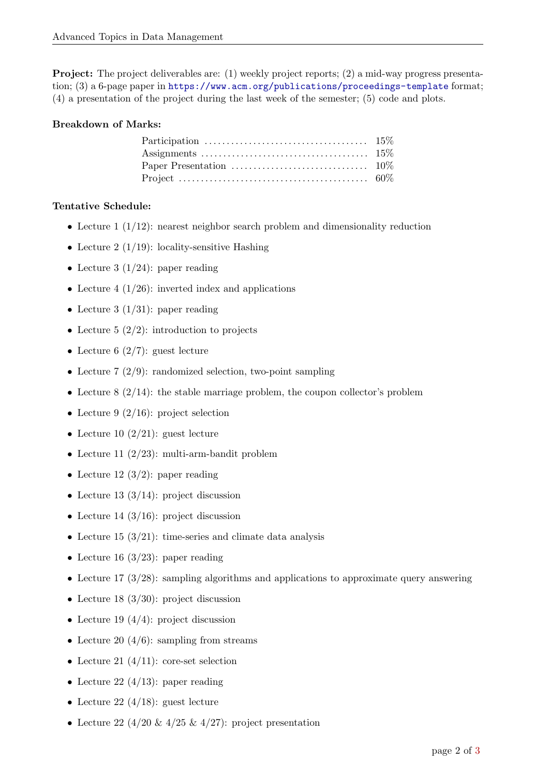Project: The project deliverables are: (1) weekly project reports; (2) a mid-way progress presentation; (3) a 6-page paper in <https://www.acm.org/publications/proceedings-template> format; (4) a presentation of the project during the last week of the semester; (5) code and plots.

## Breakdown of Marks:

## Tentative Schedule:

- Lecture 1 (1/12): nearest neighbor search problem and dimensionality reduction
- Lecture 2 (1/19): locality-sensitive Hashing
- Lecture 3 (1/24): paper reading
- Lecture 4 (1/26): inverted index and applications
- Lecture 3 (1/31): paper reading
- Lecture 5  $(2/2)$ : introduction to projects
- Lecture 6  $(2/7)$ : guest lecture
- Lecture  $7(2/9)$ : randomized selection, two-point sampling
- Lecture  $8(2/14)$ : the stable marriage problem, the coupon collector's problem
- Lecture 9  $(2/16)$ : project selection
- Lecture 10  $(2/21)$ : guest lecture
- Lecture 11 (2/23): multi-arm-bandit problem
- Lecture 12 (3/2): paper reading
- Lecture 13  $(3/14)$ : project discussion
- Lecture 14  $(3/16)$ : project discussion
- Lecture 15  $(3/21)$ : time-series and climate data analysis
- Lecture 16 (3/23): paper reading
- Lecture 17 (3/28): sampling algorithms and applications to approximate query answering
- Lecture 18  $(3/30)$ : project discussion
- Lecture 19  $(4/4)$ : project discussion
- Lecture 20  $(4/6)$ : sampling from streams
- Lecture 21  $(4/11)$ : core-set selection
- Lecture 22 (4/13): paper reading
- Lecture 22 (4/18): guest lecture
- Lecture 22 (4/20 & 4/25 & 4/27): project presentation